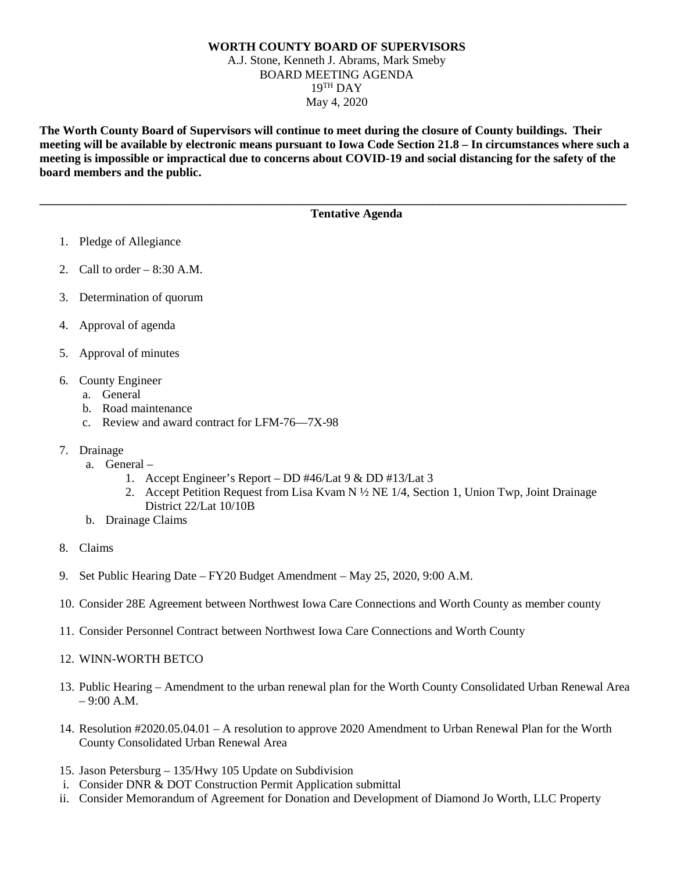## **WORTH COUNTY BOARD OF SUPERVISORS** A.J. Stone, Kenneth J. Abrams, Mark Smeby BOARD MEETING AGENDA  $19<sup>TH</sup>$  DAY May 4, 2020

**The Worth County Board of Supervisors will continue to meet during the closure of County buildings. Their meeting will be available by electronic means pursuant to Iowa Code Section 21.8 – In circumstances where such a meeting is impossible or impractical due to concerns about COVID-19 and social distancing for the safety of the board members and the public.** 

**\_\_\_\_\_\_\_\_\_\_\_\_\_\_\_\_\_\_\_\_\_\_\_\_\_\_\_\_\_\_\_\_\_\_\_\_\_\_\_\_\_\_\_\_\_\_\_\_\_\_\_\_\_\_\_\_\_\_\_\_\_\_\_\_\_\_\_\_\_\_\_\_\_\_\_\_\_\_\_\_\_\_\_\_\_\_\_\_\_\_\_\_\_\_\_\_\_**

## **Tentative Agenda**

- 1. Pledge of Allegiance
- 2. Call to order  $-8:30$  A.M.
- 3. Determination of quorum
- 4. Approval of agenda
- 5. Approval of minutes
- 6. County Engineer
	- a. General
	- b. Road maintenance
	- c. Review and award contract for LFM-76—7X-98
- 7. Drainage
	- a. General
		- 1. Accept Engineer's Report DD #46/Lat 9 & DD #13/Lat 3
		- 2. Accept Petition Request from Lisa Kvam N ½ NE 1/4, Section 1, Union Twp, Joint Drainage District 22/Lat 10/10B
	- b. Drainage Claims
- 8. Claims
- 9. Set Public Hearing Date FY20 Budget Amendment May 25, 2020, 9:00 A.M.
- 10. Consider 28E Agreement between Northwest Iowa Care Connections and Worth County as member county
- 11. Consider Personnel Contract between Northwest Iowa Care Connections and Worth County
- 12. WINN-WORTH BETCO
- 13. Public Hearing Amendment to the urban renewal plan for the Worth County Consolidated Urban Renewal Area  $-9:00$  A.M.
- 14. Resolution #2020.05.04.01 A resolution to approve 2020 Amendment to Urban Renewal Plan for the Worth County Consolidated Urban Renewal Area
- 15. Jason Petersburg 135/Hwy 105 Update on Subdivision
- i. Consider DNR & DOT Construction Permit Application submittal
- ii. Consider Memorandum of Agreement for Donation and Development of Diamond Jo Worth, LLC Property